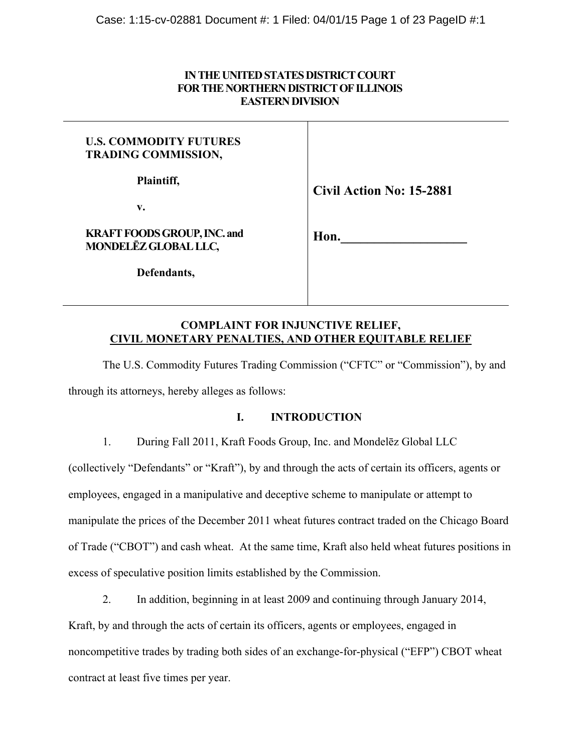# **IN THE UNITED STATES DISTRICT COURT FOR THE NORTHERN DISTRICT OF ILLINOIS EASTERN DIVISION**

| <b>U.S. COMMODITY FUTURES</b><br><b>TRADING COMMISSION,</b> |                                 |
|-------------------------------------------------------------|---------------------------------|
| Plaintiff,<br>v.                                            | <b>Civil Action No: 15-2881</b> |
| <b>KRAFT FOODS GROUP, INC. and</b><br>MONDELEZ GLOBAL LLC,  | Hon.                            |
| Defendants,                                                 |                                 |
|                                                             |                                 |

# **COMPLAINT FOR INJUNCTIVE RELIEF, CIVIL MONETARY PENALTIES, AND OTHER EQUITABLE RELIEF**

 The U.S. Commodity Futures Trading Commission ("CFTC" or "Commission"), by and through its attorneys, hereby alleges as follows:

# **I. INTRODUCTION**

1. During Fall 2011, Kraft Foods Group, Inc. and Mondelēz Global LLC

(collectively "Defendants" or "Kraft"), by and through the acts of certain its officers, agents or employees, engaged in a manipulative and deceptive scheme to manipulate or attempt to manipulate the prices of the December 2011 wheat futures contract traded on the Chicago Board of Trade ("CBOT") and cash wheat. At the same time, Kraft also held wheat futures positions in excess of speculative position limits established by the Commission.

2. In addition, beginning in at least 2009 and continuing through January 2014,

Kraft, by and through the acts of certain its officers, agents or employees, engaged in noncompetitive trades by trading both sides of an exchange-for-physical ("EFP") CBOT wheat contract at least five times per year.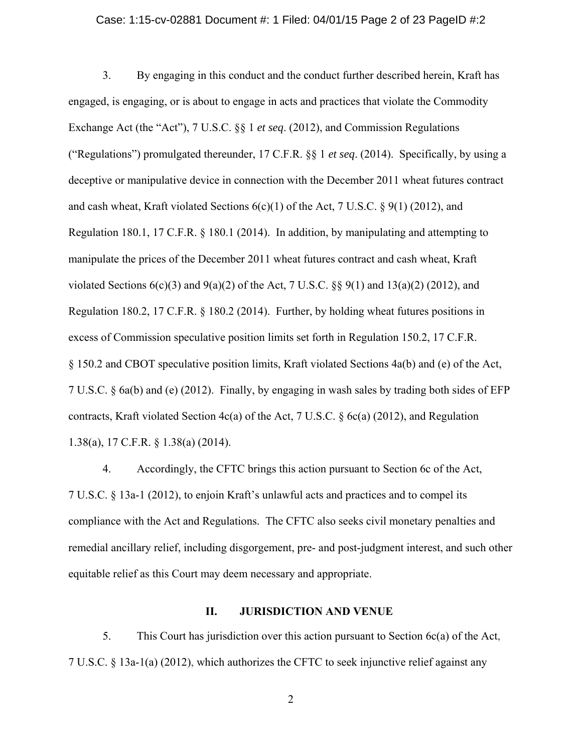## Case: 1:15-cv-02881 Document #: 1 Filed: 04/01/15 Page 2 of 23 PageID #:2

3. By engaging in this conduct and the conduct further described herein, Kraft has engaged, is engaging, or is about to engage in acts and practices that violate the Commodity Exchange Act (the "Act"), 7 U.S.C. §§ 1 *et seq*. (2012), and Commission Regulations ("Regulations") promulgated thereunder, 17 C.F.R. §§ 1 *et seq*. (2014). Specifically, by using a deceptive or manipulative device in connection with the December 2011 wheat futures contract and cash wheat, Kraft violated Sections  $6(c)(1)$  of the Act, 7 U.S.C. § 9(1) (2012), and Regulation 180.1, 17 C.F.R. § 180.1 (2014). In addition, by manipulating and attempting to manipulate the prices of the December 2011 wheat futures contract and cash wheat, Kraft violated Sections  $6(c)(3)$  and  $9(a)(2)$  of the Act, 7 U.S.C. §§  $9(1)$  and  $13(a)(2)$  (2012), and Regulation 180.2, 17 C.F.R. § 180.2 (2014). Further, by holding wheat futures positions in excess of Commission speculative position limits set forth in Regulation 150.2, 17 C.F.R. § 150.2 and CBOT speculative position limits, Kraft violated Sections 4a(b) and (e) of the Act, 7 U.S.C. § 6a(b) and (e) (2012). Finally, by engaging in wash sales by trading both sides of EFP contracts, Kraft violated Section 4c(a) of the Act, 7 U.S.C. § 6c(a) (2012), and Regulation 1.38(a), 17 C.F.R. § 1.38(a) (2014).

4. Accordingly, the CFTC brings this action pursuant to Section 6c of the Act, 7 U.S.C. § 13a-1 (2012), to enjoin Kraft's unlawful acts and practices and to compel its compliance with the Act and Regulations. The CFTC also seeks civil monetary penalties and remedial ancillary relief, including disgorgement, pre- and post-judgment interest, and such other equitable relief as this Court may deem necessary and appropriate.

# **II. JURISDICTION AND VENUE**

5. This Court has jurisdiction over this action pursuant to Section 6c(a) of the Act, 7 U.S.C. § 13a-1(a) (2012), which authorizes the CFTC to seek injunctive relief against any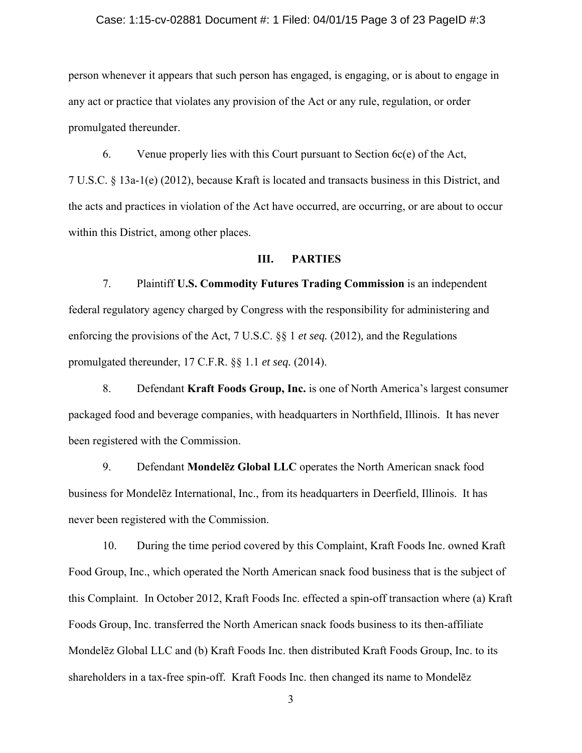## Case: 1:15-cv-02881 Document #: 1 Filed: 04/01/15 Page 3 of 23 PageID #:3

person whenever it appears that such person has engaged, is engaging, or is about to engage in any act or practice that violates any provision of the Act or any rule, regulation, or order promulgated thereunder.

6. Venue properly lies with this Court pursuant to Section 6c(e) of the Act, 7 U.S.C. § 13a-1(e) (2012), because Kraft is located and transacts business in this District, and the acts and practices in violation of the Act have occurred, are occurring, or are about to occur within this District, among other places.

# **III. PARTIES**

7. Plaintiff **U.S. Commodity Futures Trading Commission** is an independent federal regulatory agency charged by Congress with the responsibility for administering and enforcing the provisions of the Act, 7 U.S.C. §§ 1 *et seq.* (2012)*,* and the Regulations promulgated thereunder, 17 C.F.R. §§ 1.1 *et seq.* (2014).

8. Defendant **Kraft Foods Group, Inc.** is one of North America's largest consumer packaged food and beverage companies, with headquarters in Northfield, Illinois. It has never been registered with the Commission.

9. Defendant **Mondelēz Global LLC** operates the North American snack food business for Mondelēz International, Inc., from its headquarters in Deerfield, Illinois. It has never been registered with the Commission.

10. During the time period covered by this Complaint, Kraft Foods Inc. owned Kraft Food Group, Inc., which operated the North American snack food business that is the subject of this Complaint. In October 2012, Kraft Foods Inc. effected a spin-off transaction where (a) Kraft Foods Group, Inc. transferred the North American snack foods business to its then-affiliate Mondelēz Global LLC and (b) Kraft Foods Inc. then distributed Kraft Foods Group, Inc. to its shareholders in a tax-free spin-off. Kraft Foods Inc. then changed its name to Mondelēz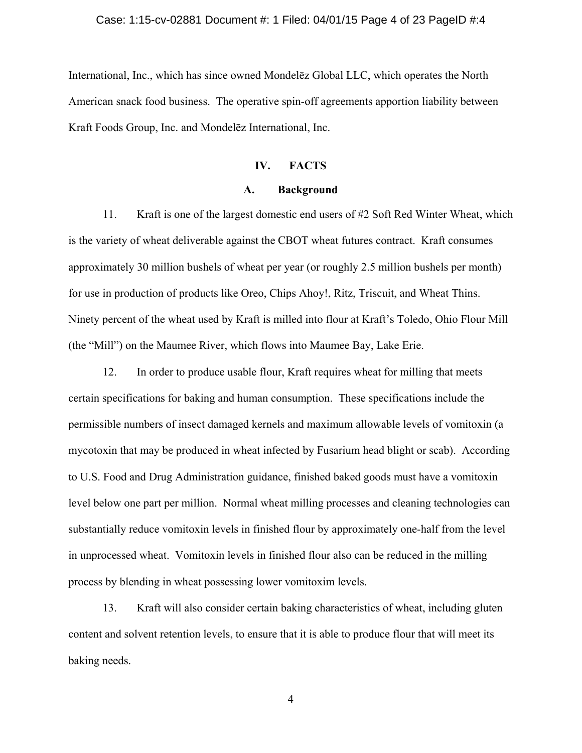## Case: 1:15-cv-02881 Document #: 1 Filed: 04/01/15 Page 4 of 23 PageID #:4

International, Inc., which has since owned Mondelēz Global LLC, which operates the North American snack food business. The operative spin-off agreements apportion liability between Kraft Foods Group, Inc. and Mondelēz International, Inc.

# **IV. FACTS**

# **A. Background**

11. Kraft is one of the largest domestic end users of #2 Soft Red Winter Wheat, which is the variety of wheat deliverable against the CBOT wheat futures contract. Kraft consumes approximately 30 million bushels of wheat per year (or roughly 2.5 million bushels per month) for use in production of products like Oreo, Chips Ahoy!, Ritz, Triscuit, and Wheat Thins. Ninety percent of the wheat used by Kraft is milled into flour at Kraft's Toledo, Ohio Flour Mill (the "Mill") on the Maumee River, which flows into Maumee Bay, Lake Erie.

12. In order to produce usable flour, Kraft requires wheat for milling that meets certain specifications for baking and human consumption. These specifications include the permissible numbers of insect damaged kernels and maximum allowable levels of vomitoxin (a mycotoxin that may be produced in wheat infected by Fusarium head blight or scab). According to U.S. Food and Drug Administration guidance, finished baked goods must have a vomitoxin level below one part per million. Normal wheat milling processes and cleaning technologies can substantially reduce vomitoxin levels in finished flour by approximately one-half from the level in unprocessed wheat. Vomitoxin levels in finished flour also can be reduced in the milling process by blending in wheat possessing lower vomitoxim levels.

13. Kraft will also consider certain baking characteristics of wheat, including gluten content and solvent retention levels, to ensure that it is able to produce flour that will meet its baking needs.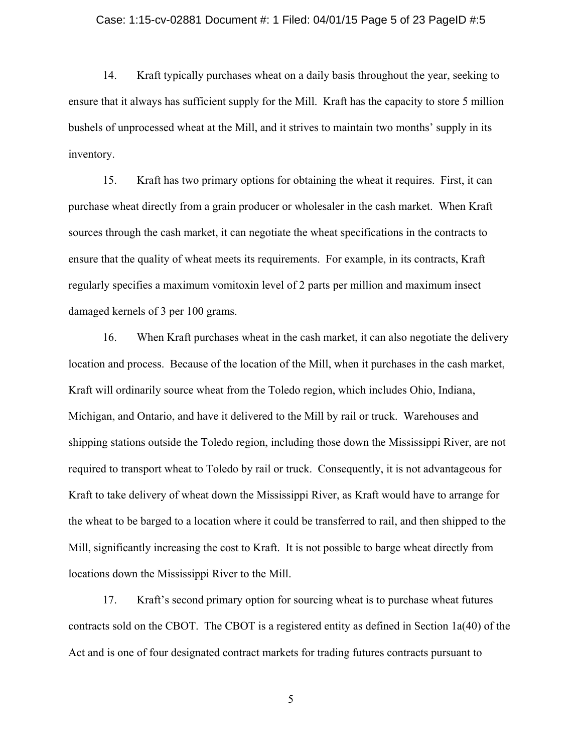## Case: 1:15-cv-02881 Document #: 1 Filed: 04/01/15 Page 5 of 23 PageID #:5

14. Kraft typically purchases wheat on a daily basis throughout the year, seeking to ensure that it always has sufficient supply for the Mill. Kraft has the capacity to store 5 million bushels of unprocessed wheat at the Mill, and it strives to maintain two months' supply in its inventory.

15. Kraft has two primary options for obtaining the wheat it requires. First, it can purchase wheat directly from a grain producer or wholesaler in the cash market. When Kraft sources through the cash market, it can negotiate the wheat specifications in the contracts to ensure that the quality of wheat meets its requirements. For example, in its contracts, Kraft regularly specifies a maximum vomitoxin level of 2 parts per million and maximum insect damaged kernels of 3 per 100 grams.

16. When Kraft purchases wheat in the cash market, it can also negotiate the delivery location and process. Because of the location of the Mill, when it purchases in the cash market, Kraft will ordinarily source wheat from the Toledo region, which includes Ohio, Indiana, Michigan, and Ontario, and have it delivered to the Mill by rail or truck. Warehouses and shipping stations outside the Toledo region, including those down the Mississippi River, are not required to transport wheat to Toledo by rail or truck. Consequently, it is not advantageous for Kraft to take delivery of wheat down the Mississippi River, as Kraft would have to arrange for the wheat to be barged to a location where it could be transferred to rail, and then shipped to the Mill, significantly increasing the cost to Kraft. It is not possible to barge wheat directly from locations down the Mississippi River to the Mill.

17. Kraft's second primary option for sourcing wheat is to purchase wheat futures contracts sold on the CBOT. The CBOT is a registered entity as defined in Section 1a(40) of the Act and is one of four designated contract markets for trading futures contracts pursuant to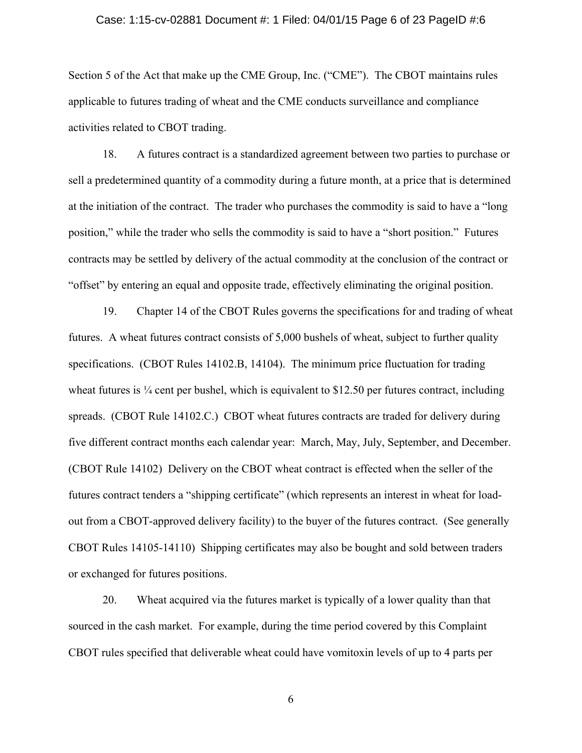## Case: 1:15-cv-02881 Document #: 1 Filed: 04/01/15 Page 6 of 23 PageID #:6

Section 5 of the Act that make up the CME Group, Inc. ("CME"). The CBOT maintains rules applicable to futures trading of wheat and the CME conducts surveillance and compliance activities related to CBOT trading.

18. A futures contract is a standardized agreement between two parties to purchase or sell a predetermined quantity of a commodity during a future month, at a price that is determined at the initiation of the contract. The trader who purchases the commodity is said to have a "long position," while the trader who sells the commodity is said to have a "short position." Futures contracts may be settled by delivery of the actual commodity at the conclusion of the contract or "offset" by entering an equal and opposite trade, effectively eliminating the original position.

19. Chapter 14 of the CBOT Rules governs the specifications for and trading of wheat futures. A wheat futures contract consists of 5,000 bushels of wheat, subject to further quality specifications. (CBOT Rules 14102.B, 14104). The minimum price fluctuation for trading wheat futures is  $\frac{1}{4}$  cent per bushel, which is equivalent to \$12.50 per futures contract, including spreads. (CBOT Rule 14102.C.) CBOT wheat futures contracts are traded for delivery during five different contract months each calendar year: March, May, July, September, and December. (CBOT Rule 14102) Delivery on the CBOT wheat contract is effected when the seller of the futures contract tenders a "shipping certificate" (which represents an interest in wheat for loadout from a CBOT-approved delivery facility) to the buyer of the futures contract. (See generally CBOT Rules 14105-14110) Shipping certificates may also be bought and sold between traders or exchanged for futures positions.

20. Wheat acquired via the futures market is typically of a lower quality than that sourced in the cash market. For example, during the time period covered by this Complaint CBOT rules specified that deliverable wheat could have vomitoxin levels of up to 4 parts per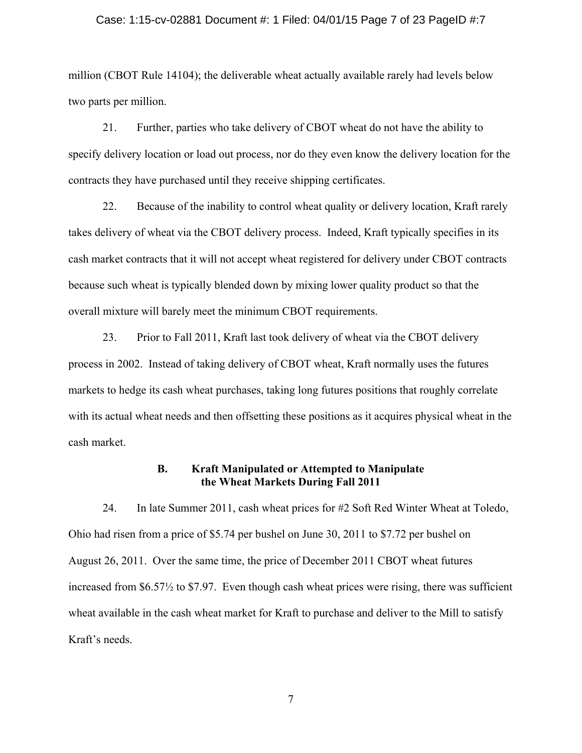## Case: 1:15-cv-02881 Document #: 1 Filed: 04/01/15 Page 7 of 23 PageID #:7

million (CBOT Rule 14104); the deliverable wheat actually available rarely had levels below two parts per million.

21. Further, parties who take delivery of CBOT wheat do not have the ability to specify delivery location or load out process, nor do they even know the delivery location for the contracts they have purchased until they receive shipping certificates.

22. Because of the inability to control wheat quality or delivery location, Kraft rarely takes delivery of wheat via the CBOT delivery process. Indeed, Kraft typically specifies in its cash market contracts that it will not accept wheat registered for delivery under CBOT contracts because such wheat is typically blended down by mixing lower quality product so that the overall mixture will barely meet the minimum CBOT requirements.

23. Prior to Fall 2011, Kraft last took delivery of wheat via the CBOT delivery process in 2002. Instead of taking delivery of CBOT wheat, Kraft normally uses the futures markets to hedge its cash wheat purchases, taking long futures positions that roughly correlate with its actual wheat needs and then offsetting these positions as it acquires physical wheat in the cash market.

# **B. Kraft Manipulated or Attempted to Manipulate the Wheat Markets During Fall 2011**

24. In late Summer 2011, cash wheat prices for #2 Soft Red Winter Wheat at Toledo, Ohio had risen from a price of \$5.74 per bushel on June 30, 2011 to \$7.72 per bushel on August 26, 2011. Over the same time, the price of December 2011 CBOT wheat futures increased from \$6.57½ to \$7.97. Even though cash wheat prices were rising, there was sufficient wheat available in the cash wheat market for Kraft to purchase and deliver to the Mill to satisfy Kraft's needs.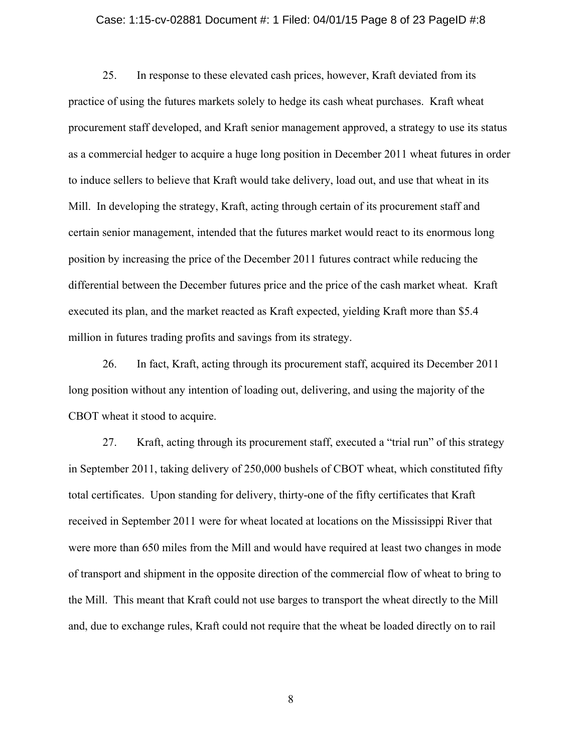## Case: 1:15-cv-02881 Document #: 1 Filed: 04/01/15 Page 8 of 23 PageID #:8

25. In response to these elevated cash prices, however, Kraft deviated from its practice of using the futures markets solely to hedge its cash wheat purchases. Kraft wheat procurement staff developed, and Kraft senior management approved, a strategy to use its status as a commercial hedger to acquire a huge long position in December 2011 wheat futures in order to induce sellers to believe that Kraft would take delivery, load out, and use that wheat in its Mill. In developing the strategy, Kraft, acting through certain of its procurement staff and certain senior management, intended that the futures market would react to its enormous long position by increasing the price of the December 2011 futures contract while reducing the differential between the December futures price and the price of the cash market wheat. Kraft executed its plan, and the market reacted as Kraft expected, yielding Kraft more than \$5.4 million in futures trading profits and savings from its strategy.

26. In fact, Kraft, acting through its procurement staff, acquired its December 2011 long position without any intention of loading out, delivering, and using the majority of the CBOT wheat it stood to acquire.

27. Kraft, acting through its procurement staff, executed a "trial run" of this strategy in September 2011, taking delivery of 250,000 bushels of CBOT wheat, which constituted fifty total certificates. Upon standing for delivery, thirty-one of the fifty certificates that Kraft received in September 2011 were for wheat located at locations on the Mississippi River that were more than 650 miles from the Mill and would have required at least two changes in mode of transport and shipment in the opposite direction of the commercial flow of wheat to bring to the Mill. This meant that Kraft could not use barges to transport the wheat directly to the Mill and, due to exchange rules, Kraft could not require that the wheat be loaded directly on to rail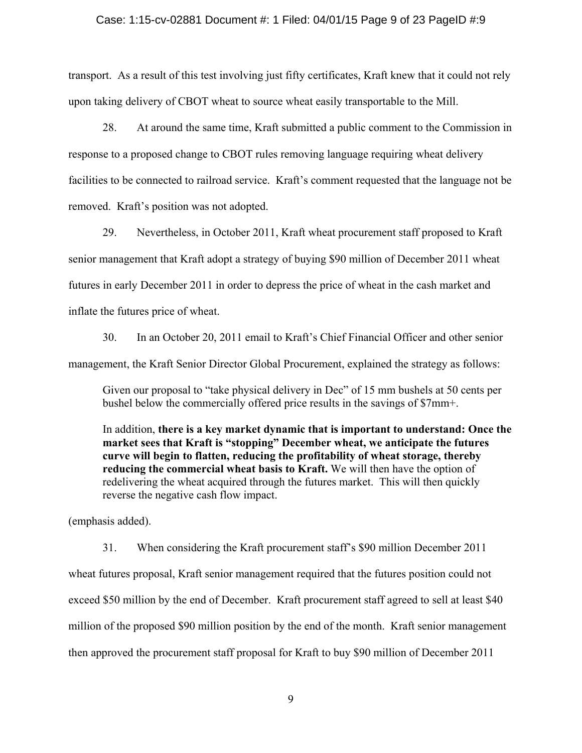## Case: 1:15-cv-02881 Document #: 1 Filed: 04/01/15 Page 9 of 23 PageID #:9

transport. As a result of this test involving just fifty certificates, Kraft knew that it could not rely upon taking delivery of CBOT wheat to source wheat easily transportable to the Mill.

28. At around the same time, Kraft submitted a public comment to the Commission in response to a proposed change to CBOT rules removing language requiring wheat delivery facilities to be connected to railroad service. Kraft's comment requested that the language not be removed. Kraft's position was not adopted.

29. Nevertheless, in October 2011, Kraft wheat procurement staff proposed to Kraft senior management that Kraft adopt a strategy of buying \$90 million of December 2011 wheat futures in early December 2011 in order to depress the price of wheat in the cash market and inflate the futures price of wheat.

30. In an October 20, 2011 email to Kraft's Chief Financial Officer and other senior management, the Kraft Senior Director Global Procurement, explained the strategy as follows:

Given our proposal to "take physical delivery in Dec" of 15 mm bushels at 50 cents per bushel below the commercially offered price results in the savings of \$7mm+.

In addition, **there is a key market dynamic that is important to understand: Once the market sees that Kraft is "stopping" December wheat, we anticipate the futures curve will begin to flatten, reducing the profitability of wheat storage, thereby reducing the commercial wheat basis to Kraft.** We will then have the option of redelivering the wheat acquired through the futures market. This will then quickly reverse the negative cash flow impact.

(emphasis added).

31. When considering the Kraft procurement staff's \$90 million December 2011 wheat futures proposal, Kraft senior management required that the futures position could not exceed \$50 million by the end of December. Kraft procurement staff agreed to sell at least \$40 million of the proposed \$90 million position by the end of the month. Kraft senior management then approved the procurement staff proposal for Kraft to buy \$90 million of December 2011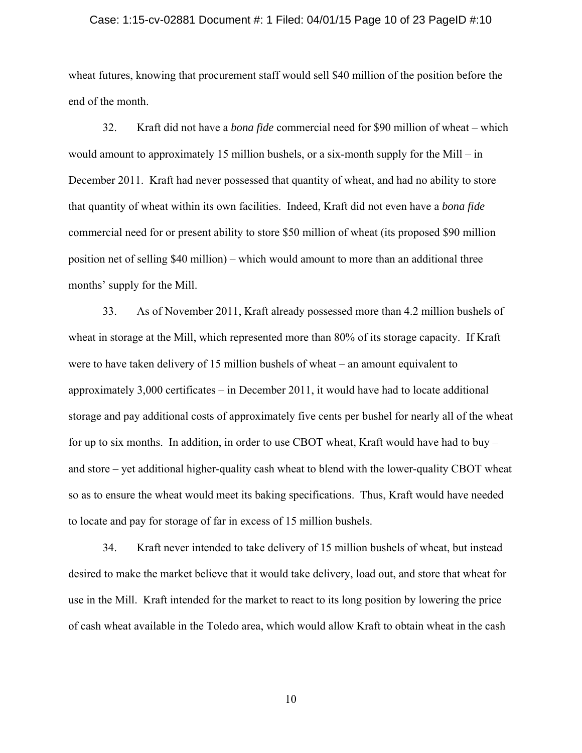#### Case: 1:15-cv-02881 Document #: 1 Filed: 04/01/15 Page 10 of 23 PageID #:10

wheat futures, knowing that procurement staff would sell \$40 million of the position before the end of the month.

32. Kraft did not have a *bona fide* commercial need for \$90 million of wheat – which would amount to approximately 15 million bushels, or a six-month supply for the Mill – in December 2011. Kraft had never possessed that quantity of wheat, and had no ability to store that quantity of wheat within its own facilities. Indeed, Kraft did not even have a *bona fide* commercial need for or present ability to store \$50 million of wheat (its proposed \$90 million position net of selling \$40 million) – which would amount to more than an additional three months' supply for the Mill.

33. As of November 2011, Kraft already possessed more than 4.2 million bushels of wheat in storage at the Mill, which represented more than 80% of its storage capacity. If Kraft were to have taken delivery of 15 million bushels of wheat – an amount equivalent to approximately 3,000 certificates – in December 2011, it would have had to locate additional storage and pay additional costs of approximately five cents per bushel for nearly all of the wheat for up to six months. In addition, in order to use CBOT wheat, Kraft would have had to buy – and store – yet additional higher-quality cash wheat to blend with the lower-quality CBOT wheat so as to ensure the wheat would meet its baking specifications. Thus, Kraft would have needed to locate and pay for storage of far in excess of 15 million bushels.

34. Kraft never intended to take delivery of 15 million bushels of wheat, but instead desired to make the market believe that it would take delivery, load out, and store that wheat for use in the Mill. Kraft intended for the market to react to its long position by lowering the price of cash wheat available in the Toledo area, which would allow Kraft to obtain wheat in the cash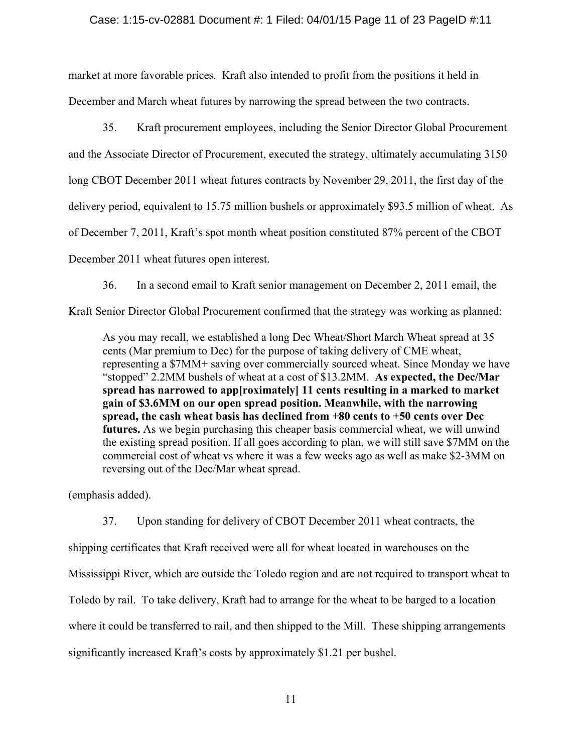# Case: 1:15-cv-02881 Document #: 1 Filed: 04/01/15 Page 11 of 23 PageID #:11

market at more favorable prices. Kraft also intended to profit from the positions it held in December and March wheat futures by narrowing the spread between the two contracts.

35. Kraft procurement employees, including the Senior Director Global Procurement and the Associate Director of Procurement, executed the strategy, ultimately accumulating 3150 long CBOT December 2011 wheat futures contracts by November 29, 2011, the first day of the delivery period, equivalent to 15.75 million bushels or approximately \$93.5 million of wheat. As of December 7, 2011, Kraft's spot month wheat position constituted 87% percent of the CBOT

December 2011 wheat futures open interest.

36. In a second email to Kraft senior management on December 2, 2011 email, the

Kraft Senior Director Global Procurement confirmed that the strategy was working as planned:

As you may recall, we established a long Dec Wheat/Short March Wheat spread at 35 cents (Mar premium to Dec) for the purpose of taking delivery of CME wheat, representing a \$7MM+ saving over commercially sourced wheat. Since Monday we have "stopped" 2.2MM bushels of wheat at a cost of \$13.2MM. **As expected, the Dec/Mar spread has narrowed to app[roximately] 11 cents resulting in a marked to market gain of \$3.6MM on our open spread position. Meanwhile, with the narrowing spread, the cash wheat basis has declined from +80 cents to +50 cents over Dec futures.** As we begin purchasing this cheaper basis commercial wheat, we will unwind the existing spread position. If all goes according to plan, we will still save \$7MM on the commercial cost of wheat vs where it was a few weeks ago as well as make \$2-3MM on reversing out of the Dec/Mar wheat spread.

(emphasis added).

37. Upon standing for delivery of CBOT December 2011 wheat contracts, the shipping certificates that Kraft received were all for wheat located in warehouses on the Mississippi River, which are outside the Toledo region and are not required to transport wheat to Toledo by rail. To take delivery, Kraft had to arrange for the wheat to be barged to a location where it could be transferred to rail, and then shipped to the Mill. These shipping arrangements significantly increased Kraft's costs by approximately \$1.21 per bushel.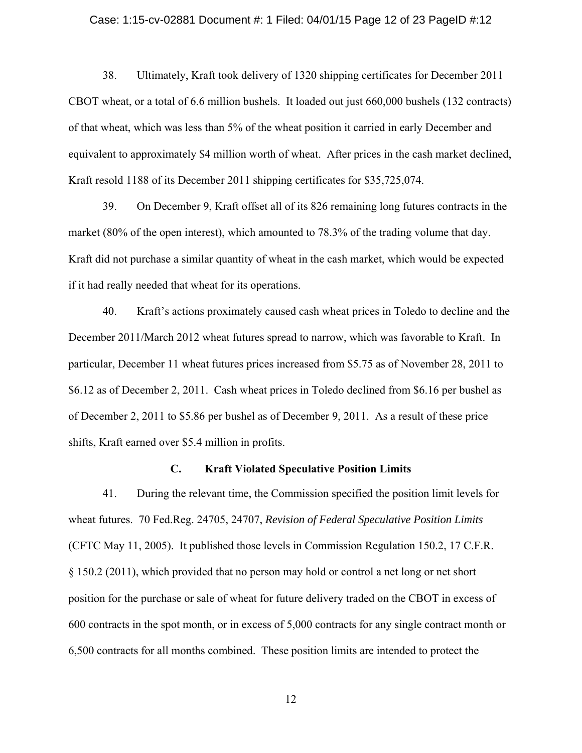#### Case: 1:15-cv-02881 Document #: 1 Filed: 04/01/15 Page 12 of 23 PageID #:12

38. Ultimately, Kraft took delivery of 1320 shipping certificates for December 2011 CBOT wheat, or a total of 6.6 million bushels. It loaded out just 660,000 bushels (132 contracts) of that wheat, which was less than 5% of the wheat position it carried in early December and equivalent to approximately \$4 million worth of wheat. After prices in the cash market declined, Kraft resold 1188 of its December 2011 shipping certificates for \$35,725,074.

39. On December 9, Kraft offset all of its 826 remaining long futures contracts in the market (80% of the open interest), which amounted to 78.3% of the trading volume that day. Kraft did not purchase a similar quantity of wheat in the cash market, which would be expected if it had really needed that wheat for its operations.

40. Kraft's actions proximately caused cash wheat prices in Toledo to decline and the December 2011/March 2012 wheat futures spread to narrow, which was favorable to Kraft. In particular, December 11 wheat futures prices increased from \$5.75 as of November 28, 2011 to \$6.12 as of December 2, 2011. Cash wheat prices in Toledo declined from \$6.16 per bushel as of December 2, 2011 to \$5.86 per bushel as of December 9, 2011. As a result of these price shifts, Kraft earned over \$5.4 million in profits.

# **C. Kraft Violated Speculative Position Limits**

41. During the relevant time, the Commission specified the position limit levels for wheat futures. 70 Fed.Reg. 24705, 24707, *Revision of Federal Speculative Position Limits* (CFTC May 11, 2005). It published those levels in Commission Regulation 150.2, 17 C.F.R. § 150.2 (2011), which provided that no person may hold or control a net long or net short position for the purchase or sale of wheat for future delivery traded on the CBOT in excess of 600 contracts in the spot month, or in excess of 5,000 contracts for any single contract month or 6,500 contracts for all months combined. These position limits are intended to protect the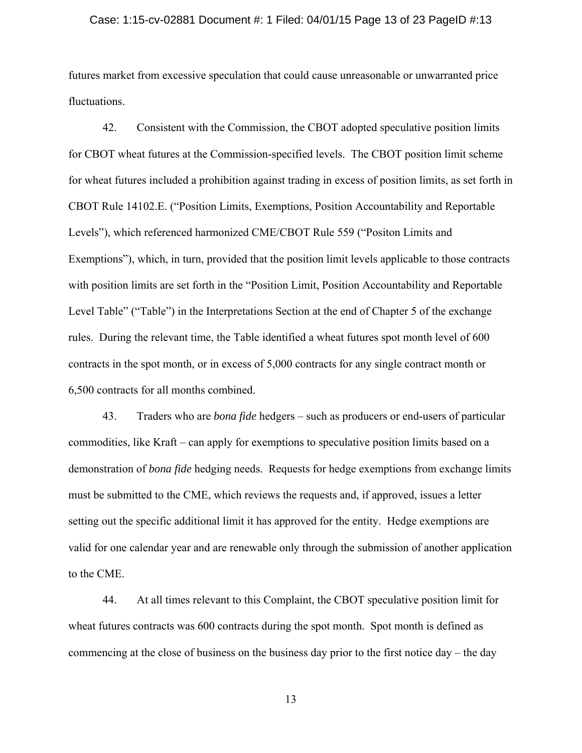#### Case: 1:15-cv-02881 Document #: 1 Filed: 04/01/15 Page 13 of 23 PageID #:13

futures market from excessive speculation that could cause unreasonable or unwarranted price fluctuations.

42. Consistent with the Commission, the CBOT adopted speculative position limits for CBOT wheat futures at the Commission-specified levels. The CBOT position limit scheme for wheat futures included a prohibition against trading in excess of position limits, as set forth in CBOT Rule 14102.E. ("Position Limits, Exemptions, Position Accountability and Reportable Levels"), which referenced harmonized CME/CBOT Rule 559 ("Positon Limits and Exemptions"), which, in turn, provided that the position limit levels applicable to those contracts with position limits are set forth in the "Position Limit, Position Accountability and Reportable Level Table" ("Table") in the Interpretations Section at the end of Chapter 5 of the exchange rules. During the relevant time, the Table identified a wheat futures spot month level of 600 contracts in the spot month, or in excess of 5,000 contracts for any single contract month or 6,500 contracts for all months combined.

43. Traders who are *bona fide* hedgers – such as producers or end-users of particular commodities, like Kraft – can apply for exemptions to speculative position limits based on a demonstration of *bona fide* hedging needs. Requests for hedge exemptions from exchange limits must be submitted to the CME, which reviews the requests and, if approved, issues a letter setting out the specific additional limit it has approved for the entity. Hedge exemptions are valid for one calendar year and are renewable only through the submission of another application to the CME.

44. At all times relevant to this Complaint, the CBOT speculative position limit for wheat futures contracts was 600 contracts during the spot month. Spot month is defined as commencing at the close of business on the business day prior to the first notice day – the day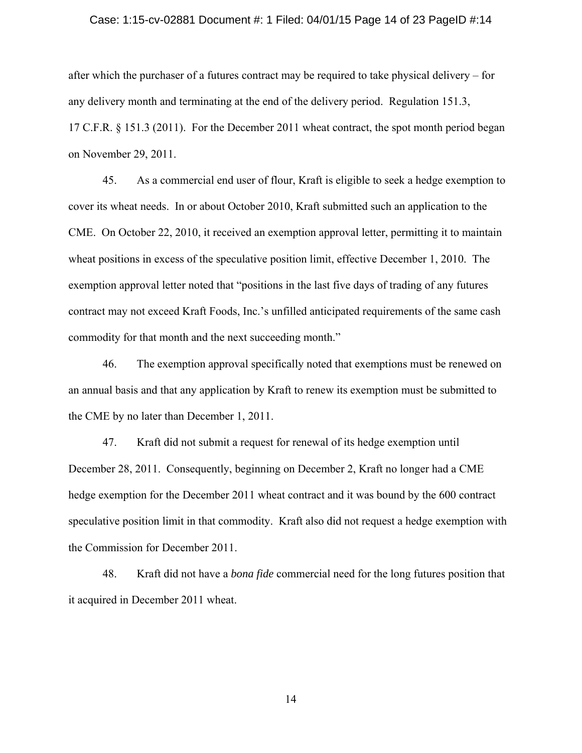#### Case: 1:15-cv-02881 Document #: 1 Filed: 04/01/15 Page 14 of 23 PageID #:14

after which the purchaser of a futures contract may be required to take physical delivery – for any delivery month and terminating at the end of the delivery period. Regulation 151.3, 17 C.F.R. § 151.3 (2011). For the December 2011 wheat contract, the spot month period began on November 29, 2011.

45. As a commercial end user of flour, Kraft is eligible to seek a hedge exemption to cover its wheat needs. In or about October 2010, Kraft submitted such an application to the CME. On October 22, 2010, it received an exemption approval letter, permitting it to maintain wheat positions in excess of the speculative position limit, effective December 1, 2010. The exemption approval letter noted that "positions in the last five days of trading of any futures contract may not exceed Kraft Foods, Inc.'s unfilled anticipated requirements of the same cash commodity for that month and the next succeeding month."

46. The exemption approval specifically noted that exemptions must be renewed on an annual basis and that any application by Kraft to renew its exemption must be submitted to the CME by no later than December 1, 2011.

47. Kraft did not submit a request for renewal of its hedge exemption until December 28, 2011. Consequently, beginning on December 2, Kraft no longer had a CME hedge exemption for the December 2011 wheat contract and it was bound by the 600 contract speculative position limit in that commodity. Kraft also did not request a hedge exemption with the Commission for December 2011.

48. Kraft did not have a *bona fide* commercial need for the long futures position that it acquired in December 2011 wheat.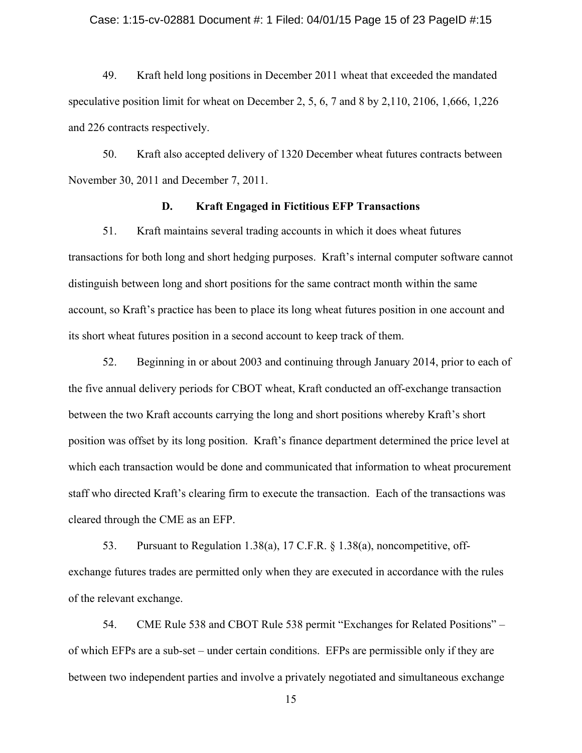## Case: 1:15-cv-02881 Document #: 1 Filed: 04/01/15 Page 15 of 23 PageID #:15

49. Kraft held long positions in December 2011 wheat that exceeded the mandated speculative position limit for wheat on December 2, 5, 6, 7 and 8 by 2,110, 2106, 1,666, 1,226 and 226 contracts respectively.

50. Kraft also accepted delivery of 1320 December wheat futures contracts between November 30, 2011 and December 7, 2011.

## **D. Kraft Engaged in Fictitious EFP Transactions**

51. Kraft maintains several trading accounts in which it does wheat futures transactions for both long and short hedging purposes. Kraft's internal computer software cannot distinguish between long and short positions for the same contract month within the same account, so Kraft's practice has been to place its long wheat futures position in one account and its short wheat futures position in a second account to keep track of them.

52. Beginning in or about 2003 and continuing through January 2014, prior to each of the five annual delivery periods for CBOT wheat, Kraft conducted an off-exchange transaction between the two Kraft accounts carrying the long and short positions whereby Kraft's short position was offset by its long position. Kraft's finance department determined the price level at which each transaction would be done and communicated that information to wheat procurement staff who directed Kraft's clearing firm to execute the transaction. Each of the transactions was cleared through the CME as an EFP.

53. Pursuant to Regulation 1.38(a), 17 C.F.R. § 1.38(a), noncompetitive, offexchange futures trades are permitted only when they are executed in accordance with the rules of the relevant exchange.

54. CME Rule 538 and CBOT Rule 538 permit "Exchanges for Related Positions" – of which EFPs are a sub-set – under certain conditions. EFPs are permissible only if they are between two independent parties and involve a privately negotiated and simultaneous exchange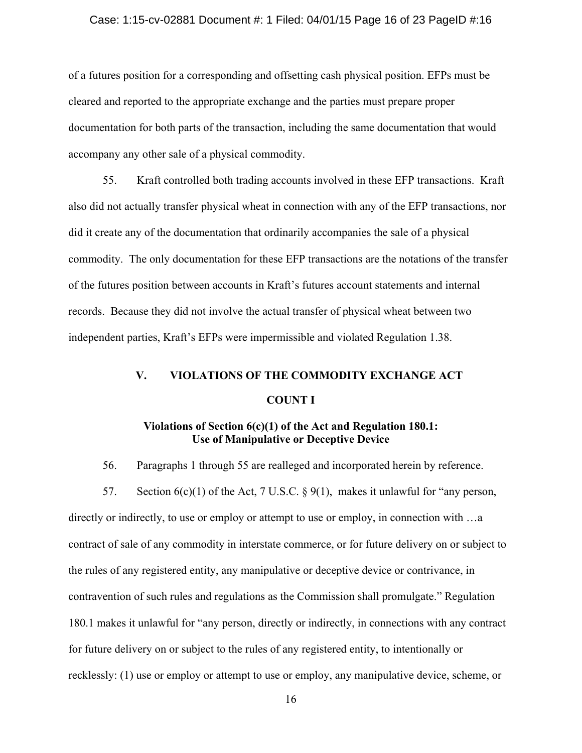# Case: 1:15-cv-02881 Document #: 1 Filed: 04/01/15 Page 16 of 23 PageID #:16

of a futures position for a corresponding and offsetting cash physical position. EFPs must be cleared and reported to the appropriate exchange and the parties must prepare proper documentation for both parts of the transaction, including the same documentation that would accompany any other sale of a physical commodity.

55. Kraft controlled both trading accounts involved in these EFP transactions. Kraft also did not actually transfer physical wheat in connection with any of the EFP transactions, nor did it create any of the documentation that ordinarily accompanies the sale of a physical commodity. The only documentation for these EFP transactions are the notations of the transfer of the futures position between accounts in Kraft's futures account statements and internal records. Because they did not involve the actual transfer of physical wheat between two independent parties, Kraft's EFPs were impermissible and violated Regulation 1.38.

# **V. VIOLATIONS OF THE COMMODITY EXCHANGE ACT COUNT I**

# **Violations of Section 6(c)(1) of the Act and Regulation 180.1: Use of Manipulative or Deceptive Device**

56. Paragraphs 1 through 55 are realleged and incorporated herein by reference.

57. Section  $6(c)(1)$  of the Act, 7 U.S.C. § 9(1), makes it unlawful for "any person, directly or indirectly, to use or employ or attempt to use or employ, in connection with …a contract of sale of any commodity in interstate commerce, or for future delivery on or subject to the rules of any registered entity, any manipulative or deceptive device or contrivance, in contravention of such rules and regulations as the Commission shall promulgate." Regulation 180.1 makes it unlawful for "any person, directly or indirectly, in connections with any contract for future delivery on or subject to the rules of any registered entity, to intentionally or recklessly: (1) use or employ or attempt to use or employ, any manipulative device, scheme, or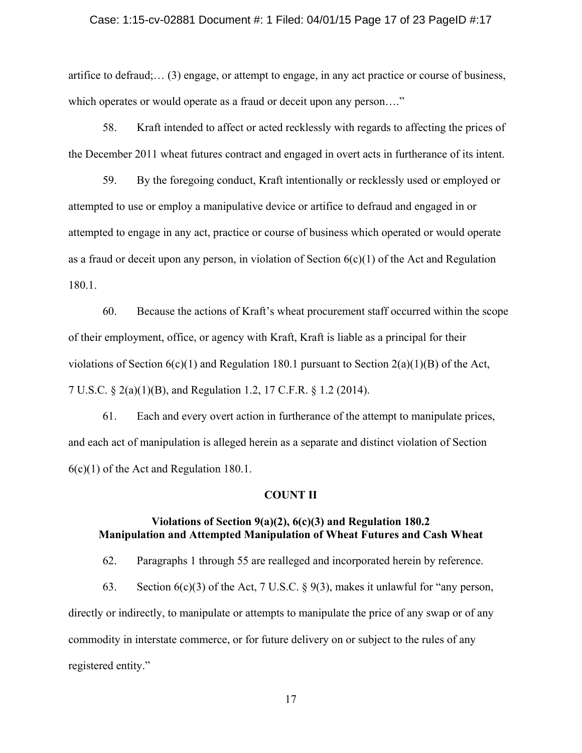#### Case: 1:15-cv-02881 Document #: 1 Filed: 04/01/15 Page 17 of 23 PageID #:17

artifice to defraud;… (3) engage, or attempt to engage, in any act practice or course of business, which operates or would operate as a fraud or deceit upon any person...."

58. Kraft intended to affect or acted recklessly with regards to affecting the prices of the December 2011 wheat futures contract and engaged in overt acts in furtherance of its intent.

59. By the foregoing conduct, Kraft intentionally or recklessly used or employed or attempted to use or employ a manipulative device or artifice to defraud and engaged in or attempted to engage in any act, practice or course of business which operated or would operate as a fraud or deceit upon any person, in violation of Section  $6(c)(1)$  of the Act and Regulation 180.1.

60. Because the actions of Kraft's wheat procurement staff occurred within the scope of their employment, office, or agency with Kraft, Kraft is liable as a principal for their violations of Section  $6(c)(1)$  and Regulation 180.1 pursuant to Section  $2(a)(1)(B)$  of the Act, 7 U.S.C. § 2(a)(1)(B), and Regulation 1.2, 17 C.F.R. § 1.2 (2014).

61. Each and every overt action in furtherance of the attempt to manipulate prices, and each act of manipulation is alleged herein as a separate and distinct violation of Section 6(c)(1) of the Act and Regulation 180.1.

## **COUNT II**

# **Violations of Section 9(a)(2), 6(c)(3) and Regulation 180.2 Manipulation and Attempted Manipulation of Wheat Futures and Cash Wheat**

62. Paragraphs 1 through 55 are realleged and incorporated herein by reference.

63. Section  $6(c)(3)$  of the Act, 7 U.S.C. § 9(3), makes it unlawful for "any person, directly or indirectly, to manipulate or attempts to manipulate the price of any swap or of any commodity in interstate commerce, or for future delivery on or subject to the rules of any registered entity."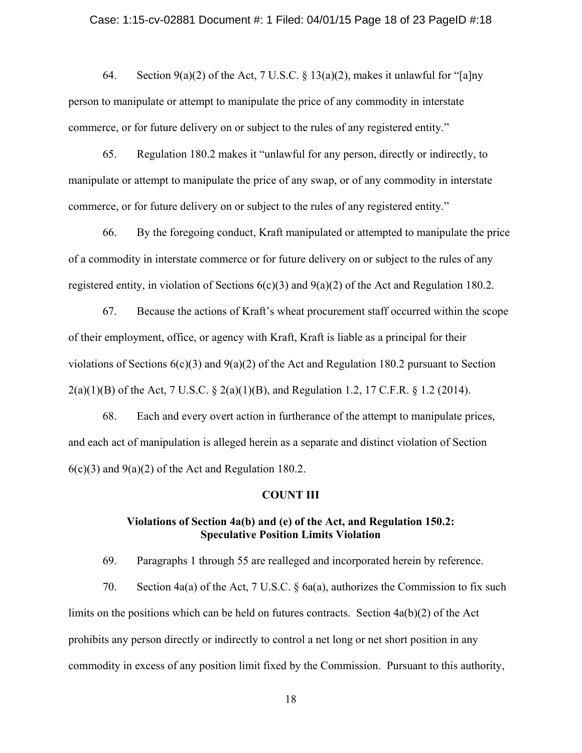#### Case: 1:15-cv-02881 Document #: 1 Filed: 04/01/15 Page 18 of 23 PageID #:18

64. Section 9(a)(2) of the Act, 7 U.S.C. § 13(a)(2), makes it unlawful for "[a]ny person to manipulate or attempt to manipulate the price of any commodity in interstate commerce, or for future delivery on or subject to the rules of any registered entity."

65. Regulation 180.2 makes it "unlawful for any person, directly or indirectly, to manipulate or attempt to manipulate the price of any swap, or of any commodity in interstate commerce, or for future delivery on or subject to the rules of any registered entity."

66. By the foregoing conduct, Kraft manipulated or attempted to manipulate the price of a commodity in interstate commerce or for future delivery on or subject to the rules of any registered entity, in violation of Sections 6(c)(3) and 9(a)(2) of the Act and Regulation 180.2.

67. Because the actions of Kraft's wheat procurement staff occurred within the scope of their employment, office, or agency with Kraft, Kraft is liable as a principal for their violations of Sections  $6(c)(3)$  and  $9(a)(2)$  of the Act and Regulation 180.2 pursuant to Section 2(a)(1)(B) of the Act, 7 U.S.C. § 2(a)(1)(B), and Regulation 1.2, 17 C.F.R. § 1.2 (2014).

68. Each and every overt action in furtherance of the attempt to manipulate prices, and each act of manipulation is alleged herein as a separate and distinct violation of Section  $6(c)(3)$  and  $9(a)(2)$  of the Act and Regulation 180.2.

## **COUNT III**

# **Violations of Section 4a(b) and (e) of the Act, and Regulation 150.2: Speculative Position Limits Violation**

69. Paragraphs 1 through 55 are realleged and incorporated herein by reference.

70. Section 4a(a) of the Act, 7 U.S.C. § 6a(a), authorizes the Commission to fix such limits on the positions which can be held on futures contracts. Section 4a(b)(2) of the Act prohibits any person directly or indirectly to control a net long or net short position in any commodity in excess of any position limit fixed by the Commission. Pursuant to this authority,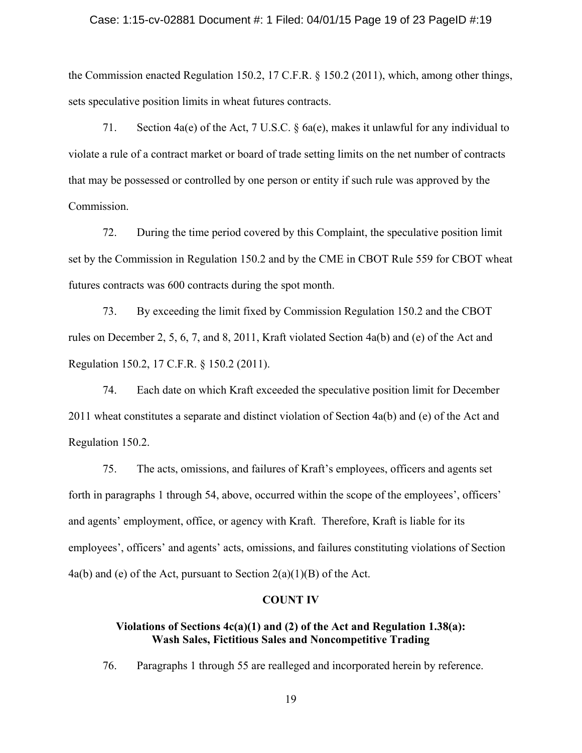#### Case: 1:15-cv-02881 Document #: 1 Filed: 04/01/15 Page 19 of 23 PageID #:19

the Commission enacted Regulation 150.2, 17 C.F.R. § 150.2 (2011), which, among other things, sets speculative position limits in wheat futures contracts.

71. Section 4a(e) of the Act, 7 U.S.C. § 6a(e), makes it unlawful for any individual to violate a rule of a contract market or board of trade setting limits on the net number of contracts that may be possessed or controlled by one person or entity if such rule was approved by the Commission.

72. During the time period covered by this Complaint, the speculative position limit set by the Commission in Regulation 150.2 and by the CME in CBOT Rule 559 for CBOT wheat futures contracts was 600 contracts during the spot month.

73. By exceeding the limit fixed by Commission Regulation 150.2 and the CBOT rules on December 2, 5, 6, 7, and 8, 2011, Kraft violated Section 4a(b) and (e) of the Act and Regulation 150.2, 17 C.F.R. § 150.2 (2011).

74. Each date on which Kraft exceeded the speculative position limit for December 2011 wheat constitutes a separate and distinct violation of Section 4a(b) and (e) of the Act and Regulation 150.2.

75. The acts, omissions, and failures of Kraft's employees, officers and agents set forth in paragraphs 1 through 54, above, occurred within the scope of the employees', officers' and agents' employment, office, or agency with Kraft. Therefore, Kraft is liable for its employees', officers' and agents' acts, omissions, and failures constituting violations of Section 4a(b) and (e) of the Act, pursuant to Section  $2(a)(1)(B)$  of the Act.

## **COUNT IV**

# **Violations of Sections 4c(a)(1) and (2) of the Act and Regulation 1.38(a): Wash Sales, Fictitious Sales and Noncompetitive Trading**

76. Paragraphs 1 through 55 are realleged and incorporated herein by reference.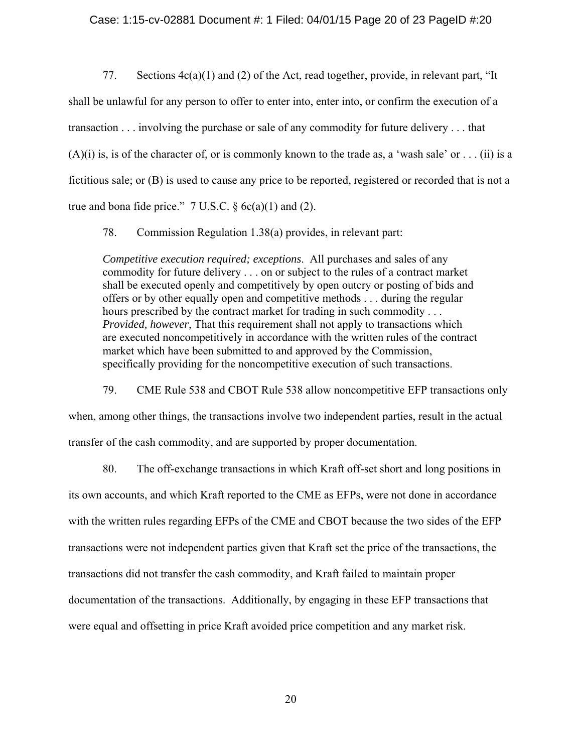## Case: 1:15-cv-02881 Document #: 1 Filed: 04/01/15 Page 20 of 23 PageID #:20

77. Sections 4c(a)(1) and (2) of the Act, read together, provide, in relevant part, "It shall be unlawful for any person to offer to enter into, enter into, or confirm the execution of a transaction . . . involving the purchase or sale of any commodity for future delivery . . . that  $(A)(i)$  is, is of the character of, or is commonly known to the trade as, a 'wash sale' or . . . (ii) is a fictitious sale; or (B) is used to cause any price to be reported, registered or recorded that is not a true and bona fide price."  $7 \text{ U.S.C. } §6c(a)(1)$  and (2).

78. Commission Regulation 1.38(a) provides, in relevant part:

*Competitive execution required; exceptions*. All purchases and sales of any commodity for future delivery . . . on or subject to the rules of a contract market shall be executed openly and competitively by open outcry or posting of bids and offers or by other equally open and competitive methods . . . during the regular hours prescribed by the contract market for trading in such commodity . . . *Provided, however*, That this requirement shall not apply to transactions which are executed noncompetitively in accordance with the written rules of the contract market which have been submitted to and approved by the Commission, specifically providing for the noncompetitive execution of such transactions.

79. CME Rule 538 and CBOT Rule 538 allow noncompetitive EFP transactions only when, among other things, the transactions involve two independent parties, result in the actual transfer of the cash commodity, and are supported by proper documentation.

80. The off-exchange transactions in which Kraft off-set short and long positions in its own accounts, and which Kraft reported to the CME as EFPs, were not done in accordance with the written rules regarding EFPs of the CME and CBOT because the two sides of the EFP transactions were not independent parties given that Kraft set the price of the transactions, the transactions did not transfer the cash commodity, and Kraft failed to maintain proper documentation of the transactions. Additionally, by engaging in these EFP transactions that were equal and offsetting in price Kraft avoided price competition and any market risk.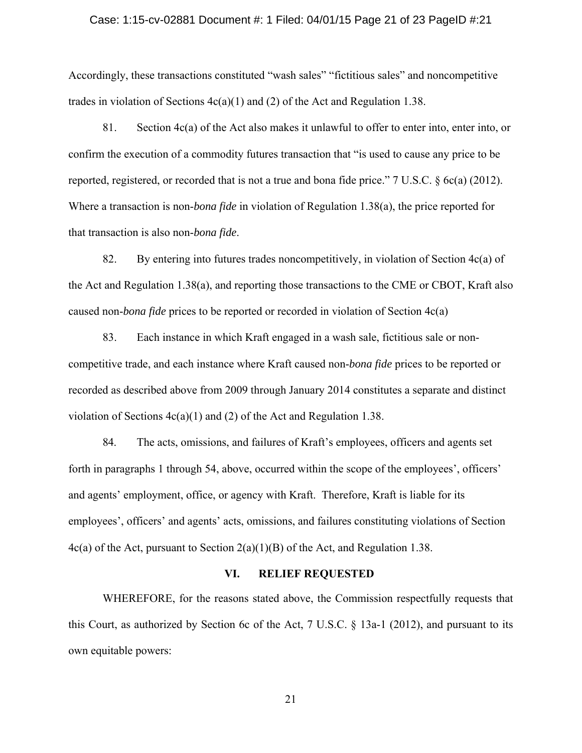#### Case: 1:15-cv-02881 Document #: 1 Filed: 04/01/15 Page 21 of 23 PageID #:21

Accordingly, these transactions constituted "wash sales" "fictitious sales" and noncompetitive trades in violation of Sections  $4c(a)(1)$  and (2) of the Act and Regulation 1.38.

81. Section 4c(a) of the Act also makes it unlawful to offer to enter into, enter into, or confirm the execution of a commodity futures transaction that "is used to cause any price to be reported, registered, or recorded that is not a true and bona fide price." 7 U.S.C. § 6c(a) (2012). Where a transaction is non-*bona fide* in violation of Regulation 1.38(a), the price reported for that transaction is also non-*bona fide*.

82. By entering into futures trades noncompetitively, in violation of Section 4c(a) of the Act and Regulation 1.38(a), and reporting those transactions to the CME or CBOT, Kraft also caused non-*bona fide* prices to be reported or recorded in violation of Section 4c(a)

83. Each instance in which Kraft engaged in a wash sale, fictitious sale or noncompetitive trade, and each instance where Kraft caused non-*bona fide* prices to be reported or recorded as described above from 2009 through January 2014 constitutes a separate and distinct violation of Sections  $4c(a)(1)$  and (2) of the Act and Regulation 1.38.

84. The acts, omissions, and failures of Kraft's employees, officers and agents set forth in paragraphs 1 through 54, above, occurred within the scope of the employees', officers' and agents' employment, office, or agency with Kraft. Therefore, Kraft is liable for its employees', officers' and agents' acts, omissions, and failures constituting violations of Section 4c(a) of the Act, pursuant to Section 2(a)(1)(B) of the Act, and Regulation 1.38.

## **VI. RELIEF REQUESTED**

WHEREFORE, for the reasons stated above, the Commission respectfully requests that this Court, as authorized by Section 6c of the Act, 7 U.S.C. § 13a-1 (2012), and pursuant to its own equitable powers: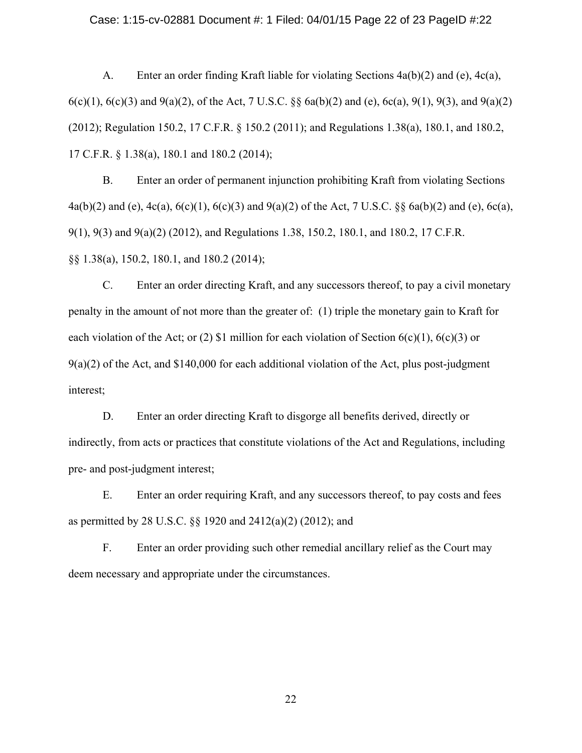#### Case: 1:15-cv-02881 Document #: 1 Filed: 04/01/15 Page 22 of 23 PageID #:22

A. Enter an order finding Kraft liable for violating Sections 4a(b)(2) and (e), 4c(a), 6(c)(1), 6(c)(3) and 9(a)(2), of the Act, 7 U.S.C. §§ 6a(b)(2) and (e), 6c(a), 9(1), 9(3), and 9(a)(2) (2012); Regulation 150.2, 17 C.F.R. § 150.2 (2011); and Regulations 1.38(a), 180.1, and 180.2, 17 C.F.R. § 1.38(a), 180.1 and 180.2 (2014);

B. Enter an order of permanent injunction prohibiting Kraft from violating Sections 4a(b)(2) and (e), 4c(a), 6(c)(1), 6(c)(3) and 9(a)(2) of the Act, 7 U.S.C. §§ 6a(b)(2) and (e), 6c(a), 9(1), 9(3) and 9(a)(2) (2012), and Regulations 1.38, 150.2, 180.1, and 180.2, 17 C.F.R. §§ 1.38(a), 150.2, 180.1, and 180.2 (2014);

C. Enter an order directing Kraft, and any successors thereof, to pay a civil monetary penalty in the amount of not more than the greater of: (1) triple the monetary gain to Kraft for each violation of the Act; or (2) \$1 million for each violation of Section  $6(c)(1)$ ,  $6(c)(3)$  or  $9(a)(2)$  of the Act, and \$140,000 for each additional violation of the Act, plus post-judgment interest;

D. Enter an order directing Kraft to disgorge all benefits derived, directly or indirectly, from acts or practices that constitute violations of the Act and Regulations, including pre- and post-judgment interest;

E. Enter an order requiring Kraft, and any successors thereof, to pay costs and fees as permitted by 28 U.S.C. §§ 1920 and 2412(a)(2) (2012); and

F. Enter an order providing such other remedial ancillary relief as the Court may deem necessary and appropriate under the circumstances.